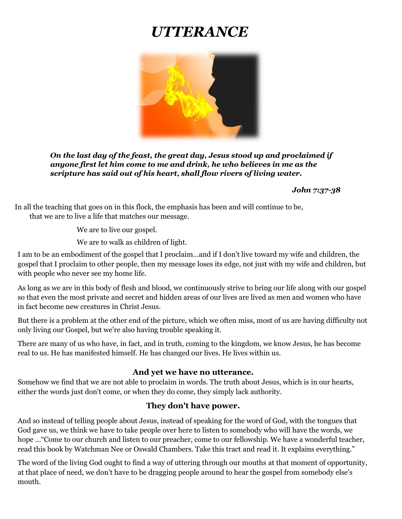# *UTTERANCE*



*On the last day of the feast, the great day, Jesus stood up and proclaimed if anyone first let him come to me and drink, he who believes in me as the scripture has said out of his heart, shall flow rivers of living water.*

*John 7:37-38*

In all the teaching that goes on in this flock, the emphasis has been and will continue to be, that we are to live a life that matches our message.

We are to live our gospel.

We are to walk as children of light.

I am to be an embodiment of the gospel that I proclaim…and if I don't live toward my wife and children, the gospel that I proclaim to other people, then my message loses its edge, not just with my wife and children, but with people who never see my home life.

As long as we are in this body of flesh and blood, we continuously strive to bring our life along with our gospel so that even the most private and secret and hidden areas of our lives are lived as men and women who have in fact become new creatures in Christ Jesus.

But there is a problem at the other end of the picture, which we often miss, most of us are having difficulty not only living our Gospel, but we're also having trouble speaking it.

There are many of us who have, in fact, and in truth, coming to the kingdom, we know Jesus, he has become real to us. He has manifested himself. He has changed our lives. He lives within us.

#### **And yet we have no utterance.**

Somehow we find that we are not able to proclaim in words. The truth about Jesus, which is in our hearts, either the words just don't come, or when they do come, they simply lack authority.

#### **They don't have power.**

And so instead of telling people about Jesus, instead of speaking for the word of God, with the tongues that God gave us, we think we have to take people over here to listen to somebody who will have the words, we hope …"Come to our church and listen to our preacher, come to our fellowship. We have a wonderful teacher, read this book by Watchman Nee or Oswald Chambers. Take this tract and read it. It explains everything."

The word of the living God ought to find a way of uttering through our mouths at that moment of opportunity, at that place of need, we don't have to be dragging people around to hear the gospel from somebody else's mouth.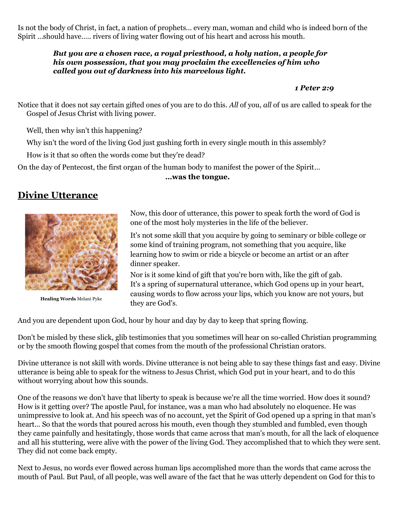Is not the body of Christ, in fact, a nation of prophets... every man, woman and child who is indeed born of the Spirit …should have….. rivers of living water flowing out of his heart and across his mouth.

#### *But you are a chosen race, a royal priesthood, a holy nation, a people for his own possession, that you may proclaim the excellencies of him who called you out of darkness into his marvelous light.*

#### *1 Peter 2:9*

Notice that it does not say certain gifted ones of you are to do this. *All* of you, *all* of us are called to speak for the Gospel of Jesus Christ with living power.

Well, then why isn't this happening?

Why isn't the word of the living God just gushing forth in every single mouth in this assembly?

How is it that so often the words come but they're dead?

On the day of Pentecost, the first organ of the human body to manifest the power of the Spirit…

#### **…was the tongue.**

# **Divine Utterance**



**Healing Words** Melani Pyke

Now, this door of utterance, this power to speak forth the word of God is one of the most holy mysteries in the life of the believer.

It's not some skill that you acquire by going to seminary or bible college or some kind of training program, not something that you acquire, like learning how to swim or ride a bicycle or become an artist or an after dinner speaker.

Nor is it some kind of gift that you're born with, like the gift of gab. It's a spring of supernatural utterance, which God opens up in your heart, causing words to flow across your lips, which you know are not yours, but they are God's.

And you are dependent upon God, hour by hour and day by day to keep that spring flowing.

Don't be misled by these slick, glib testimonies that you sometimes will hear on so-called Christian programming or by the smooth flowing gospel that comes from the mouth of the professional Christian orators.

Divine utterance is not skill with words. Divine utterance is not being able to say these things fast and easy. Divine utterance is being able to speak for the witness to Jesus Christ, which God put in your heart, and to do this without worrying about how this sounds.

One of the reasons we don't have that liberty to speak is because we're all the time worried. How does it sound? How is it getting over? The apostle Paul, for instance, was a man who had absolutely no eloquence. He was unimpressive to look at. And his speech was of no account, yet the Spirit of God opened up a spring in that man's heart... So that the words that poured across his mouth, even though they stumbled and fumbled, even though they came painfully and hesitatingly, those words that came across that man's mouth, for all the lack of eloquence and all his stuttering, were alive with the power of the living God. They accomplished that to which they were sent. They did not come back empty.

Next to Jesus, no words ever flowed across human lips accomplished more than the words that came across the mouth of Paul. But Paul, of all people, was well aware of the fact that he was utterly dependent on God for this to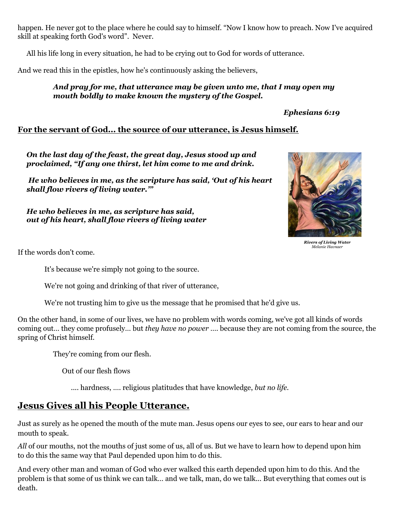happen. He never got to the place where he could say to himself. "Now I know how to preach. Now I've acquired skill at speaking forth God's word". Never.

All his life long in every situation, he had to be crying out to God for words of utterance.

And we read this in the epistles, how he's continuously asking the believers,

#### *And pray for me, that utterance may be given unto me, that I may open my mouth boldly to make known the mystery of the Gospel.*

## *Ephesians 6:19*

# **For the servant of God... the source of our utterance, is Jesus himself.**

*On the last day of the feast, the great day, Jesus stood up and proclaimed, "If any one thirst, let him come to me and drink.*

*He who believes in me, as the scripture has said, 'Out of his heart shall flow rivers of living water.'"*

*He who believes in me, as scripture has said, out of his heart, shall flow rivers of living water*



*Rivers of Living Water Melanie Havnaer*

If the words don't come.

It's because we're simply not going to the source.

We're not going and drinking of that river of utterance,

We're not trusting him to give us the message that he promised that he'd give us.

On the other hand, in some of our lives, we have no problem with words coming, we've got all kinds of words coming out… they come profusely… but *they have no power* …. because they are not coming from the source, the spring of Christ himself.

They're coming from our flesh.

Out of our flesh flows

.... hardness, …. religious platitudes that have knowledge, *but no life.*

# **Jesus Gives all his People Utterance.**

Just as surely as he opened the mouth of the mute man. Jesus opens our eyes to see, our ears to hear and our mouth to speak.

*All* of our mouths, not the mouths of just some of us, all of us. But we have to learn how to depend upon him to do this the same way that Paul depended upon him to do this.

And every other man and woman of God who ever walked this earth depended upon him to do this. And the problem is that some of us think we can talk… and we talk, man, do we talk... But everything that comes out is death.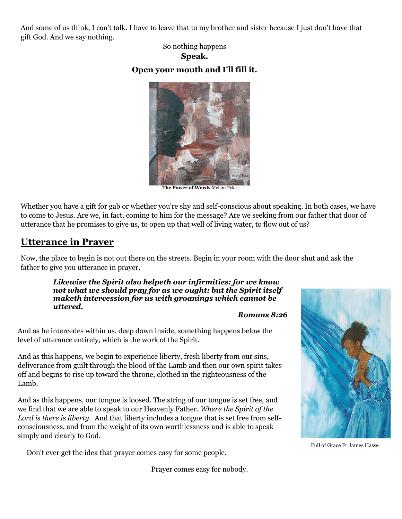And some of us think, I can't talk. I have to leave that to my brother and sister because I just don't have that gift God. And we say nothing.

> So nothing happens **Speak.**

## **Open your mouth and I'll fill it.**



**The Power of Words** Melani Pyke

Whether you have a gift for gab or whether you're shy and self-conscious about speaking. In both cases, we have to come to Jesus. Are we, in fact, coming to him for the message? Are we seeking from our father that door of utterance that he promises to give us, to open up that well of living water, to flow out of us?

# **Utterance in Prayer**

Now, the place to begin is not out there on the streets. Begin in your room with the door shut and ask the father to give you utterance in prayer.

*Likewise the Spirit also helpeth our infirmities: for we know not what we should pray for as we ought: but the Spirit itself maketh intercession for us with groanings which cannot be uttered.* 

#### *Romans 8:26*

And as he intercedes within us, deep down inside, something happens below the level of utterance entirely, which is the work of the Spirit.

And as this happens, we begin to experience liberty, fresh liberty from our sins, deliverance from guilt through the blood of the Lamb and then our own spirit takes off and begins to rise up toward the throne, clothed in the righteousness of the Lamb.

And as this happens, our tongue is loosed. The string of our tongue is set free, and we find that we are able to speak to our Heavenly Father. *Where the Spirit of the Lord is there is liberty*. And that liberty includes a tongue that is set free from selfconsciousness, and from the weight of its own worthlessness and is able to speak simply and clearly to God.

Don't ever get the idea that prayer comes easy for some people.

Prayer comes easy for nobody.



Full of Grace Fr James Hasse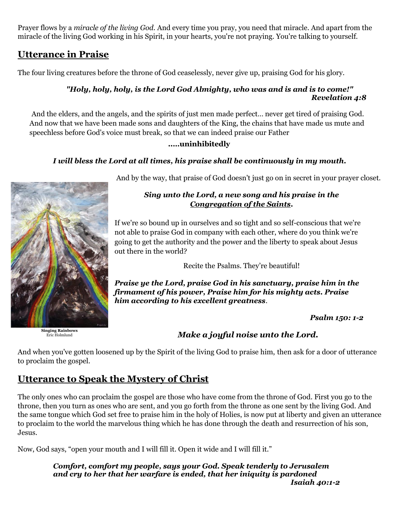Prayer flows by a *miracle of the living God.* And every time you pray, you need that miracle. And apart from the miracle of the living God working in his Spirit, in your hearts, you're not praying. You're talking to yourself.

# **Utterance in Praise**

The four living creatures before the throne of God ceaselessly, never give up, praising God for his glory.

## *"Holy, holy, holy, is the Lord God Almighty, who was and is and is to come!" Revelation 4:8*

And the elders, and the angels, and the spirits of just men made perfect… never get tired of praising God. And now that we have been made sons and daughters of the King, the chains that have made us mute and speechless before God's voice must break, so that we can indeed praise our Father

## **..…uninhibitedly**

## *I will bless the Lord at all times, his praise shall be continuously in my mouth.*



**Singing Rainbows** Eric Holmlund

And by the way, that praise of God doesn't just go on in secret in your prayer closet.

## *Sing unto the Lord, a new song and his praise in the Congregation of the Saints.*

If we're so bound up in ourselves and so tight and so self-conscious that we're not able to praise God in company with each other, where do you think we're going to get the authority and the power and the liberty to speak about Jesus out there in the world?

Recite the Psalms. They're beautiful!

*Praise ye the Lord, praise God in his sanctuary, praise him in the firmament of his power, Praise him for his mighty acts. Praise him according to his excellent greatness*.

*Psalm 150: 1-2*

# *Make a joyful noise unto the Lord.*

And when you've gotten loosened up by the Spirit of the living God to praise him, then ask for a door of utterance to proclaim the gospel.

# **Utterance to Speak the Mystery of Christ**

The only ones who can proclaim the gospel are those who have come from the throne of God. First you go to the throne, then you turn as ones who are sent, and you go forth from the throne as one sent by the living God. And the same tongue which God set free to praise him in the holy of Holies, is now put at liberty and given an utterance to proclaim to the world the marvelous thing which he has done through the death and resurrection of his son, Jesus.

Now, God says, "open your mouth and I will fill it. Open it wide and I will fill it."

*Comfort, comfort my people, says your God. Speak tenderly to Jerusalem and cry to her that her warfare is ended, that her iniquity is pardoned Isaiah 40:1-2*